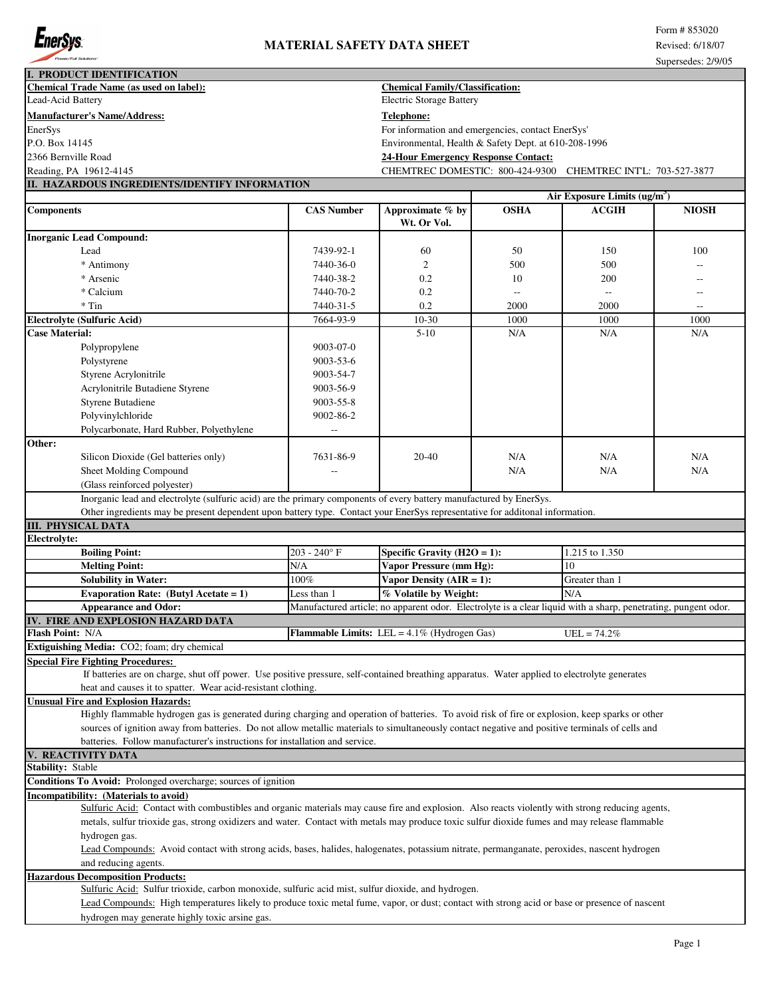

|                                                | I. PRODUCT IDENTIFICATION                                                                                                                       |                   |                                                                                                                |                |                                          |              |
|------------------------------------------------|-------------------------------------------------------------------------------------------------------------------------------------------------|-------------------|----------------------------------------------------------------------------------------------------------------|----------------|------------------------------------------|--------------|
| <b>Chemical Trade Name (as used on label):</b> |                                                                                                                                                 |                   | <b>Chemical Family/Classification:</b>                                                                         |                |                                          |              |
| Lead-Acid Battery                              |                                                                                                                                                 |                   | <b>Electric Storage Battery</b>                                                                                |                |                                          |              |
|                                                | Manufacturer's Name/Address:                                                                                                                    |                   | <b>Telephone:</b>                                                                                              |                |                                          |              |
| EnerSys                                        |                                                                                                                                                 |                   | For information and emergencies, contact EnerSys'                                                              |                |                                          |              |
| P.O. Box 14145                                 |                                                                                                                                                 |                   | Environmental, Health & Safety Dept. at 610-208-1996                                                           |                |                                          |              |
| 2366 Bernville Road                            |                                                                                                                                                 |                   | <b>24-Hour Emergency Response Contact:</b>                                                                     |                |                                          |              |
| Reading, PA 19612-4145                         |                                                                                                                                                 |                   | CHEMTREC DOMESTIC: 800-424-9300 CHEMTREC INTL: 703-527-3877                                                    |                |                                          |              |
|                                                | II. HAZARDOUS INGREDIENTS/IDENTIFY INFORMATION                                                                                                  |                   |                                                                                                                |                |                                          |              |
|                                                |                                                                                                                                                 |                   |                                                                                                                |                | Air Exposure Limits (ug/m <sup>3</sup> ) |              |
| <b>Components</b>                              |                                                                                                                                                 | <b>CAS Number</b> | Approximate $\overline{\%}$ by<br>Wt. Or Vol.                                                                  | <b>OSHA</b>    | <b>ACGIH</b>                             | <b>NIOSH</b> |
|                                                | <b>Inorganic Lead Compound:</b>                                                                                                                 |                   |                                                                                                                |                |                                          |              |
|                                                | Lead                                                                                                                                            | 7439-92-1         | 60                                                                                                             | 50             | 150                                      | 100          |
|                                                | * Antimony                                                                                                                                      | 7440-36-0         | $\overline{2}$                                                                                                 | 500            | 500                                      |              |
|                                                | * Arsenic                                                                                                                                       | 7440-38-2         | 0.2                                                                                                            | 10             | 200                                      | --           |
|                                                | * Calcium                                                                                                                                       | 7440-70-2         | 0.2                                                                                                            | $\overline{a}$ |                                          | $-$          |
|                                                | $*$ Tin                                                                                                                                         | 7440-31-5         | 0.2                                                                                                            | 2000           | 2000                                     | $\sim$       |
|                                                | <b>Electrolyte (Sulfuric Acid)</b>                                                                                                              | 7664-93-9         | 10-30                                                                                                          | 1000           | 1000                                     | 1000         |
| <b>Case Material:</b>                          |                                                                                                                                                 |                   | $5 - 10$                                                                                                       | N/A            | N/A                                      | N/A          |
|                                                | Polypropylene                                                                                                                                   | 9003-07-0         |                                                                                                                |                |                                          |              |
|                                                | Polystyrene                                                                                                                                     | $9003 - 53 - 6$   |                                                                                                                |                |                                          |              |
|                                                | Styrene Acrylonitrile                                                                                                                           | 9003-54-7         |                                                                                                                |                |                                          |              |
|                                                | Acrylonitrile Butadiene Styrene                                                                                                                 | 9003-56-9         |                                                                                                                |                |                                          |              |
|                                                | <b>Styrene Butadiene</b>                                                                                                                        | 9003-55-8         |                                                                                                                |                |                                          |              |
|                                                | Polyvinylchloride                                                                                                                               | 9002-86-2         |                                                                                                                |                |                                          |              |
|                                                | Polycarbonate, Hard Rubber, Polyethylene                                                                                                        |                   |                                                                                                                |                |                                          |              |
|                                                |                                                                                                                                                 |                   |                                                                                                                |                |                                          |              |
|                                                |                                                                                                                                                 |                   |                                                                                                                |                |                                          |              |
|                                                |                                                                                                                                                 |                   |                                                                                                                |                |                                          |              |
|                                                | Silicon Dioxide (Gel batteries only)                                                                                                            | 7631-86-9         | 20-40                                                                                                          | N/A            | N/A                                      | N/A          |
|                                                | Sheet Molding Compound                                                                                                                          |                   |                                                                                                                | N/A            | N/A                                      | N/A          |
| Other:                                         | (Glass reinforced polyester)                                                                                                                    |                   |                                                                                                                |                |                                          |              |
|                                                | Inorganic lead and electrolyte (sulfuric acid) are the primary components of every battery manufactured by EnerSys.                             |                   |                                                                                                                |                |                                          |              |
|                                                | Other ingredients may be present dependent upon battery type. Contact your EnerSys representative for additonal information.                    |                   |                                                                                                                |                |                                          |              |
|                                                | <b>III. PHYSICAL DATA</b>                                                                                                                       |                   |                                                                                                                |                |                                          |              |
|                                                |                                                                                                                                                 |                   |                                                                                                                |                |                                          |              |
|                                                | <b>Boiling Point:</b>                                                                                                                           | $203 - 240$ °F    | Specific Gravity $(H2O = 1)$ :                                                                                 |                | 1.215 to 1.350                           |              |
|                                                | <b>Melting Point:</b>                                                                                                                           | N/A               | Vapor Pressure (mm Hg):                                                                                        |                | 10                                       |              |
|                                                | <b>Solubility in Water:</b>                                                                                                                     | 100%              | Vapor Density $(AIR = 1)$ :                                                                                    |                | Greater than 1                           |              |
|                                                | Evaporation Rate: (Butyl Acetate = $1$ )                                                                                                        | Less than 1       | % Volatile by Weight:                                                                                          |                | N/A                                      |              |
|                                                | <b>Appearance and Odor:</b>                                                                                                                     |                   | Manufactured article; no apparent odor. Electrolyte is a clear liquid with a sharp, penetrating, pungent odor. |                |                                          |              |
|                                                | IV. FIRE AND EXPLOSION HAZARD DATA                                                                                                              |                   |                                                                                                                |                |                                          |              |
|                                                |                                                                                                                                                 |                   | Flammable Limits: LEL = 4.1% (Hydrogen Gas)                                                                    |                | $UEL = 74.2%$                            |              |
|                                                | Extiguishing Media: CO2; foam; dry chemical                                                                                                     |                   |                                                                                                                |                |                                          |              |
|                                                | <b>Special Fire Fighting Procedures:</b>                                                                                                        |                   |                                                                                                                |                |                                          |              |
|                                                | If batteries are on charge, shut off power. Use positive pressure, self-contained breathing apparatus. Water applied to electrolyte generates   |                   |                                                                                                                |                |                                          |              |
|                                                | heat and causes it to spatter. Wear acid-resistant clothing.                                                                                    |                   |                                                                                                                |                |                                          |              |
|                                                | <b>Unusual Fire and Explosion Hazards:</b>                                                                                                      |                   |                                                                                                                |                |                                          |              |
| Electrolyte:<br>Flash Point: N/A               | Highly flammable hydrogen gas is generated during charging and operation of batteries. To avoid risk of fire or explosion, keep sparks or other |                   |                                                                                                                |                |                                          |              |
|                                                | sources of ignition away from batteries. Do not allow metallic materials to simultaneously contact negative and positive terminals of cells and |                   |                                                                                                                |                |                                          |              |
|                                                | batteries. Follow manufacturer's instructions for installation and service.                                                                     |                   |                                                                                                                |                |                                          |              |
|                                                | <b>REACTIVITY DATA</b>                                                                                                                          |                   |                                                                                                                |                |                                          |              |
|                                                |                                                                                                                                                 |                   |                                                                                                                |                |                                          |              |
|                                                | Conditions To Avoid: Prolonged overcharge; sources of ignition                                                                                  |                   |                                                                                                                |                |                                          |              |
|                                                | Incompatibility: (Materials to avoid)                                                                                                           |                   |                                                                                                                |                |                                          |              |
|                                                | Sulfuric Acid: Contact with combustibles and organic materials may cause fire and explosion. Also reacts violently with strong reducing agents, |                   |                                                                                                                |                |                                          |              |
|                                                | metals, sulfur trioxide gas, strong oxidizers and water. Contact with metals may produce toxic sulfur dioxide fumes and may release flammable   |                   |                                                                                                                |                |                                          |              |
|                                                | hydrogen gas.                                                                                                                                   |                   |                                                                                                                |                |                                          |              |
|                                                | Lead Compounds: Avoid contact with strong acids, bases, halides, halogenates, potassium nitrate, permanganate, peroxides, nascent hydrogen      |                   |                                                                                                                |                |                                          |              |
| <b>Stability: Stable</b>                       | and reducing agents.                                                                                                                            |                   |                                                                                                                |                |                                          |              |
|                                                | <b>Hazardous Decomposition Products:</b><br>Sulfuric Acid: Sulfur trioxide, carbon monoxide, sulfuric acid mist, sulfur dioxide, and hydrogen.  |                   |                                                                                                                |                |                                          |              |
|                                                | Lead Compounds: High temperatures likely to produce toxic metal fume, vapor, or dust; contact with strong acid or base or presence of nascent   |                   |                                                                                                                |                |                                          |              |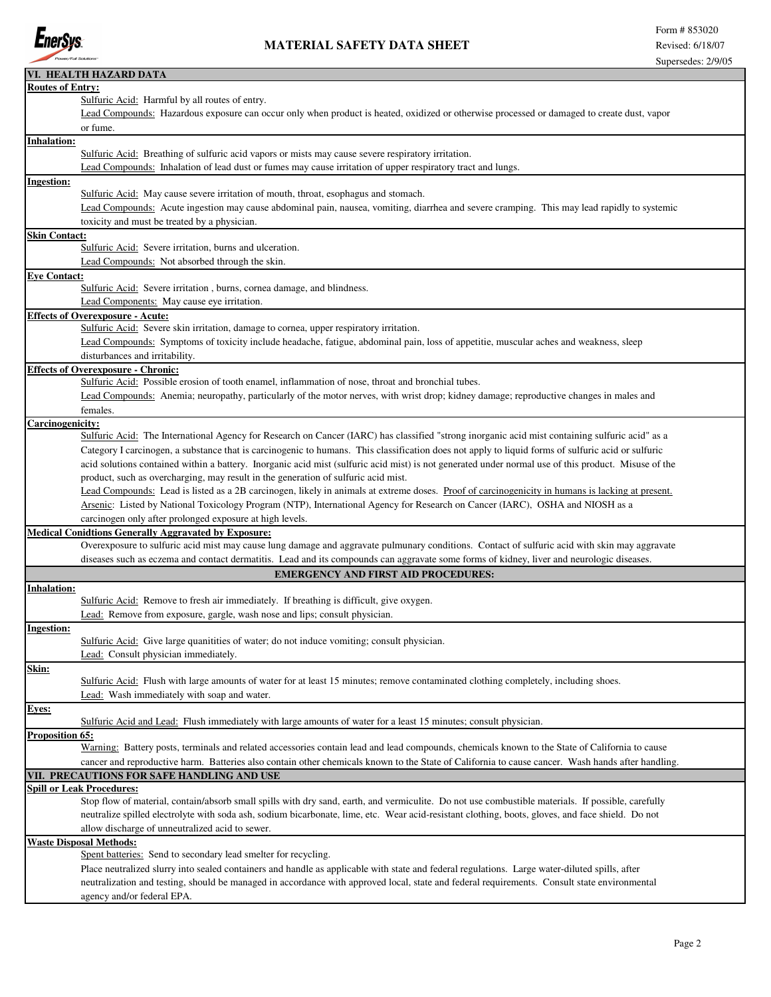

|                         | VI. HEALTH HAZARD DATA                                                                                                                               |
|-------------------------|------------------------------------------------------------------------------------------------------------------------------------------------------|
| <b>Routes of Entry:</b> |                                                                                                                                                      |
|                         | Sulfuric Acid: Harmful by all routes of entry.                                                                                                       |
|                         | Lead Compounds: Hazardous exposure can occur only when product is heated, oxidized or otherwise processed or damaged to create dust, vapor           |
|                         | or fume.                                                                                                                                             |
| <b>Inhalation:</b>      |                                                                                                                                                      |
|                         | Sulfuric Acid: Breathing of sulfuric acid vapors or mists may cause severe respiratory irritation.                                                   |
|                         |                                                                                                                                                      |
|                         | Lead Compounds: Inhalation of lead dust or fumes may cause irritation of upper respiratory tract and lungs.                                          |
| <b>Ingestion:</b>       |                                                                                                                                                      |
|                         | Sulfuric Acid: May cause severe irritation of mouth, throat, esophagus and stomach.                                                                  |
|                         | Lead Compounds: Acute ingestion may cause abdominal pain, nausea, vomiting, diarrhea and severe cramping. This may lead rapidly to systemic          |
|                         | toxicity and must be treated by a physician.                                                                                                         |
| <b>Skin Contact:</b>    |                                                                                                                                                      |
|                         | Sulfuric Acid: Severe irritation, burns and ulceration.                                                                                              |
|                         | Lead Compounds: Not absorbed through the skin.                                                                                                       |
|                         |                                                                                                                                                      |
| <b>Eye Contact:</b>     |                                                                                                                                                      |
|                         | Sulfuric Acid: Severe irritation, burns, cornea damage, and blindness.                                                                               |
|                         | Lead Components: May cause eye irritation.                                                                                                           |
|                         | <b>Effects of Overexposure - Acute:</b>                                                                                                              |
|                         | Sulfuric Acid: Severe skin irritation, damage to cornea, upper respiratory irritation.                                                               |
|                         | Lead Compounds: Symptoms of toxicity include headache, fatigue, abdominal pain, loss of appetitie, muscular aches and weakness, sleep                |
|                         | disturbances and irritability.                                                                                                                       |
|                         | <b>Effects of Overexposure - Chronic:</b>                                                                                                            |
|                         | Sulfuric Acid: Possible erosion of tooth enamel, inflammation of nose, throat and bronchial tubes.                                                   |
|                         |                                                                                                                                                      |
|                         | Lead Compounds: Anemia; neuropathy, particularly of the motor nerves, with wrist drop; kidney damage; reproductive changes in males and              |
|                         | females.                                                                                                                                             |
| <b>Carcinogenicity:</b> |                                                                                                                                                      |
|                         | Sulfuric Acid: The International Agency for Research on Cancer (IARC) has classified "strong inorganic acid mist containing sulfuric acid" as a      |
|                         | Category I carcinogen, a substance that is carcinogenic to humans. This classification does not apply to liquid forms of sulfuric acid or sulfuric   |
|                         | acid solutions contained within a battery. Inorganic acid mist (sulfuric acid mist) is not generated under normal use of this product. Misuse of the |
|                         | product, such as overcharging, may result in the generation of sulfuric acid mist.                                                                   |
|                         |                                                                                                                                                      |
|                         | Lead Compounds: Lead is listed as a 2B carcinogen, likely in animals at extreme doses. Proof of carcinogenicity in humans is lacking at present.     |
|                         | Arsenic: Listed by National Toxicology Program (NTP), International Agency for Research on Cancer (IARC), OSHA and NIOSH as a                        |
|                         | carcinogen only after prolonged exposure at high levels.                                                                                             |
|                         | <b>Medical Conidtions Generally Aggravated by Exposure:</b>                                                                                          |
|                         | Overexposure to sulfuric acid mist may cause lung damage and aggravate pulmunary conditions. Contact of sulfuric acid with skin may aggravate        |
|                         | diseases such as eczema and contact dermatitis. Lead and its compounds can aggravate some forms of kidney, liver and neurologic diseases.            |
|                         | <b>EMERGENCY AND FIRST AID PROCEDURES:</b>                                                                                                           |
|                         |                                                                                                                                                      |
| Inhalation:             |                                                                                                                                                      |
|                         | Sulfuric Acid: Remove to fresh air immediately. If breathing is difficult, give oxygen.                                                              |
|                         | Lead: Remove from exposure, gargle, wash nose and lips; consult physician.                                                                           |
| <b>Ingestion:</b>       |                                                                                                                                                      |
|                         | Sulfuric Acid: Give large quanitities of water; do not induce vomiting; consult physician.                                                           |
|                         | Lead: Consult physician immediately.                                                                                                                 |
| Skin:                   |                                                                                                                                                      |
|                         | Sulfuric Acid: Flush with large amounts of water for at least 15 minutes; remove contaminated clothing completely, including shoes.                  |
|                         |                                                                                                                                                      |
|                         | Lead: Wash immediately with soap and water.                                                                                                          |
| Eyes:                   |                                                                                                                                                      |
|                         | Sulfuric Acid and Lead: Flush immediately with large amounts of water for a least 15 minutes; consult physician.                                     |
| <b>Proposition 65:</b>  |                                                                                                                                                      |
|                         | Warning: Battery posts, terminals and related accessories contain lead and lead compounds, chemicals known to the State of California to cause       |
|                         | cancer and reproductive harm. Batteries also contain other chemicals known to the State of California to cause cancer. Wash hands after handling.    |
|                         | VII. PRECAUTIONS FOR SAFE HANDLING AND USE                                                                                                           |
|                         | <b>Spill or Leak Procedures:</b>                                                                                                                     |
|                         | Stop flow of material, contain/absorb small spills with dry sand, earth, and vermiculite. Do not use combustible materials. If possible, carefully   |
|                         |                                                                                                                                                      |
|                         | neutralize spilled electrolyte with soda ash, sodium bicarbonate, lime, etc. Wear acid-resistant clothing, boots, gloves, and face shield. Do not    |
|                         | allow discharge of unneutralized acid to sewer.                                                                                                      |
|                         | <b>Waste Disposal Methods:</b>                                                                                                                       |
|                         | Spent batteries: Send to secondary lead smelter for recycling.                                                                                       |
|                         | Place neutralized slurry into sealed containers and handle as applicable with state and federal regulations. Large water-diluted spills, after       |
|                         | neutralization and testing, should be managed in accordance with approved local, state and federal requirements. Consult state environmental         |
|                         | agency and/or federal EPA.                                                                                                                           |
|                         |                                                                                                                                                      |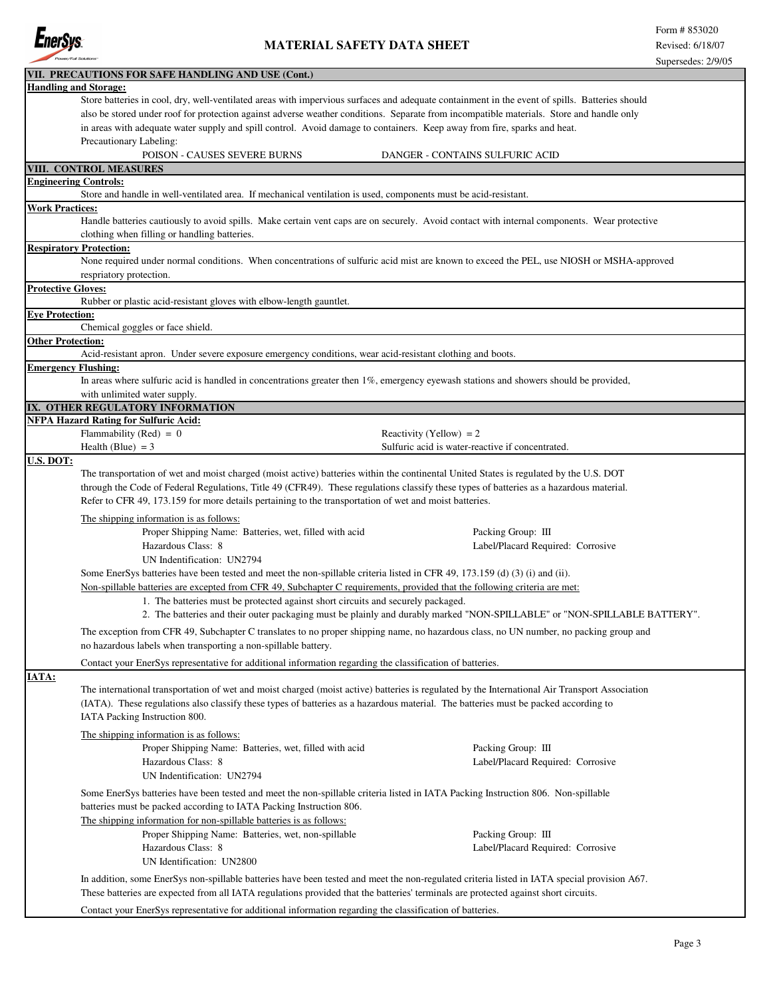

|                              | VII. PRECAUTIONS FOR SAFE HANDLING AND USE (Cont.)                                                                                                                                                                                                                                                                                                                                                                                                |                                                                                                                                          |  |  |  |  |  |  |
|------------------------------|---------------------------------------------------------------------------------------------------------------------------------------------------------------------------------------------------------------------------------------------------------------------------------------------------------------------------------------------------------------------------------------------------------------------------------------------------|------------------------------------------------------------------------------------------------------------------------------------------|--|--|--|--|--|--|
|                              | <b>Handling and Storage:</b>                                                                                                                                                                                                                                                                                                                                                                                                                      |                                                                                                                                          |  |  |  |  |  |  |
|                              | Store batteries in cool, dry, well-ventilated areas with impervious surfaces and adequate containment in the event of spills. Batteries should                                                                                                                                                                                                                                                                                                    |                                                                                                                                          |  |  |  |  |  |  |
|                              | also be stored under roof for protection against adverse weather conditions. Separate from incompatible materials. Store and handle only                                                                                                                                                                                                                                                                                                          |                                                                                                                                          |  |  |  |  |  |  |
|                              | in areas with adequate water supply and spill control. Avoid damage to containers. Keep away from fire, sparks and heat.                                                                                                                                                                                                                                                                                                                          |                                                                                                                                          |  |  |  |  |  |  |
|                              | Precautionary Labeling:                                                                                                                                                                                                                                                                                                                                                                                                                           |                                                                                                                                          |  |  |  |  |  |  |
|                              | POISON - CAUSES SEVERE BURNS                                                                                                                                                                                                                                                                                                                                                                                                                      | DANGER - CONTAINS SULFURIC ACID                                                                                                          |  |  |  |  |  |  |
|                              | VIII. CONTROL MEASURES                                                                                                                                                                                                                                                                                                                                                                                                                            |                                                                                                                                          |  |  |  |  |  |  |
| <b>Engineering Controls:</b> |                                                                                                                                                                                                                                                                                                                                                                                                                                                   |                                                                                                                                          |  |  |  |  |  |  |
|                              | Store and handle in well-ventilated area. If mechanical ventilation is used, components must be acid-resistant.                                                                                                                                                                                                                                                                                                                                   |                                                                                                                                          |  |  |  |  |  |  |
| <b>Work Practices:</b>       |                                                                                                                                                                                                                                                                                                                                                                                                                                                   |                                                                                                                                          |  |  |  |  |  |  |
|                              | Handle batteries cautiously to avoid spills. Make certain vent caps are on securely. Avoid contact with internal components. Wear protective<br>clothing when filling or handling batteries.                                                                                                                                                                                                                                                      |                                                                                                                                          |  |  |  |  |  |  |
|                              | <b>Respiratory Protection:</b>                                                                                                                                                                                                                                                                                                                                                                                                                    |                                                                                                                                          |  |  |  |  |  |  |
|                              |                                                                                                                                                                                                                                                                                                                                                                                                                                                   | None required under normal conditions. When concentrations of sulfuric acid mist are known to exceed the PEL, use NIOSH or MSHA-approved |  |  |  |  |  |  |
|                              | respriatory protection.                                                                                                                                                                                                                                                                                                                                                                                                                           |                                                                                                                                          |  |  |  |  |  |  |
| <b>Protective Gloves:</b>    |                                                                                                                                                                                                                                                                                                                                                                                                                                                   |                                                                                                                                          |  |  |  |  |  |  |
|                              | Rubber or plastic acid-resistant gloves with elbow-length gauntlet.                                                                                                                                                                                                                                                                                                                                                                               |                                                                                                                                          |  |  |  |  |  |  |
| <b>Eye Protection:</b>       |                                                                                                                                                                                                                                                                                                                                                                                                                                                   |                                                                                                                                          |  |  |  |  |  |  |
|                              | Chemical goggles or face shield.                                                                                                                                                                                                                                                                                                                                                                                                                  |                                                                                                                                          |  |  |  |  |  |  |
| <b>Other Protection:</b>     |                                                                                                                                                                                                                                                                                                                                                                                                                                                   |                                                                                                                                          |  |  |  |  |  |  |
|                              | Acid-resistant apron. Under severe exposure emergency conditions, wear acid-resistant clothing and boots.                                                                                                                                                                                                                                                                                                                                         |                                                                                                                                          |  |  |  |  |  |  |
| <b>Emergency Flushing:</b>   |                                                                                                                                                                                                                                                                                                                                                                                                                                                   |                                                                                                                                          |  |  |  |  |  |  |
|                              | In areas where sulfuric acid is handled in concentrations greater then 1%, emergency eyewash stations and showers should be provided,<br>with unlimited water supply.                                                                                                                                                                                                                                                                             |                                                                                                                                          |  |  |  |  |  |  |
|                              |                                                                                                                                                                                                                                                                                                                                                                                                                                                   |                                                                                                                                          |  |  |  |  |  |  |
|                              | IX. OTHER REGULATORY INFORMATION<br><b>NFPA Hazard Rating for Sulfuric Acid:</b>                                                                                                                                                                                                                                                                                                                                                                  |                                                                                                                                          |  |  |  |  |  |  |
|                              | Flammability (Red) = $0$                                                                                                                                                                                                                                                                                                                                                                                                                          | Reactivity (Yellow) = $2$                                                                                                                |  |  |  |  |  |  |
|                              | Health (Blue) $=$ 3                                                                                                                                                                                                                                                                                                                                                                                                                               | Sulfuric acid is water-reactive if concentrated.                                                                                         |  |  |  |  |  |  |
| U.S. DOT:                    |                                                                                                                                                                                                                                                                                                                                                                                                                                                   |                                                                                                                                          |  |  |  |  |  |  |
|                              | The transportation of wet and moist charged (moist active) batteries within the continental United States is regulated by the U.S. DOT                                                                                                                                                                                                                                                                                                            |                                                                                                                                          |  |  |  |  |  |  |
|                              |                                                                                                                                                                                                                                                                                                                                                                                                                                                   |                                                                                                                                          |  |  |  |  |  |  |
|                              | through the Code of Federal Regulations, Title 49 (CFR49). These regulations classify these types of batteries as a hazardous material.                                                                                                                                                                                                                                                                                                           |                                                                                                                                          |  |  |  |  |  |  |
|                              | Refer to CFR 49, 173.159 for more details pertaining to the transportation of wet and moist batteries.                                                                                                                                                                                                                                                                                                                                            |                                                                                                                                          |  |  |  |  |  |  |
|                              | The shipping information is as follows:                                                                                                                                                                                                                                                                                                                                                                                                           |                                                                                                                                          |  |  |  |  |  |  |
|                              | Proper Shipping Name: Batteries, wet, filled with acid                                                                                                                                                                                                                                                                                                                                                                                            | Packing Group: III                                                                                                                       |  |  |  |  |  |  |
|                              | Hazardous Class: 8                                                                                                                                                                                                                                                                                                                                                                                                                                | Label/Placard Required: Corrosive                                                                                                        |  |  |  |  |  |  |
|                              | UN Indentification: UN2794                                                                                                                                                                                                                                                                                                                                                                                                                        |                                                                                                                                          |  |  |  |  |  |  |
|                              | Some EnerSys batteries have been tested and meet the non-spillable criteria listed in CFR 49, 173.159 (d) (3) (i) and (ii).                                                                                                                                                                                                                                                                                                                       |                                                                                                                                          |  |  |  |  |  |  |
|                              | Non-spillable batteries are excepted from CFR 49, Subchapter C requirements, provided that the following criteria are met:                                                                                                                                                                                                                                                                                                                        |                                                                                                                                          |  |  |  |  |  |  |
|                              |                                                                                                                                                                                                                                                                                                                                                                                                                                                   |                                                                                                                                          |  |  |  |  |  |  |
|                              | 1. The batteries must be protected against short circuits and securely packaged.                                                                                                                                                                                                                                                                                                                                                                  |                                                                                                                                          |  |  |  |  |  |  |
|                              | 2. The batteries and their outer packaging must be plainly and durably marked "NON-SPILLABLE" or "NON-SPILLABLE BATTERY".<br>The exception from CFR 49, Subchapter C translates to no proper shipping name, no hazardous class, no UN number, no packing group and<br>no hazardous labels when transporting a non-spillable battery.<br>Contact your EnerSys representative for additional information regarding the classification of batteries. |                                                                                                                                          |  |  |  |  |  |  |
|                              |                                                                                                                                                                                                                                                                                                                                                                                                                                                   |                                                                                                                                          |  |  |  |  |  |  |
|                              |                                                                                                                                                                                                                                                                                                                                                                                                                                                   |                                                                                                                                          |  |  |  |  |  |  |
|                              |                                                                                                                                                                                                                                                                                                                                                                                                                                                   |                                                                                                                                          |  |  |  |  |  |  |
| <b>IATA:</b>                 |                                                                                                                                                                                                                                                                                                                                                                                                                                                   |                                                                                                                                          |  |  |  |  |  |  |
|                              | The international transportation of wet and moist charged (moist active) batteries is regulated by the International Air Transport Association                                                                                                                                                                                                                                                                                                    |                                                                                                                                          |  |  |  |  |  |  |
|                              |                                                                                                                                                                                                                                                                                                                                                                                                                                                   |                                                                                                                                          |  |  |  |  |  |  |
|                              | (IATA). These regulations also classify these types of batteries as a hazardous material. The batteries must be packed according to<br>IATA Packing Instruction 800.                                                                                                                                                                                                                                                                              |                                                                                                                                          |  |  |  |  |  |  |
|                              |                                                                                                                                                                                                                                                                                                                                                                                                                                                   |                                                                                                                                          |  |  |  |  |  |  |
|                              | The shipping information is as follows:                                                                                                                                                                                                                                                                                                                                                                                                           |                                                                                                                                          |  |  |  |  |  |  |
|                              | Proper Shipping Name: Batteries, wet, filled with acid                                                                                                                                                                                                                                                                                                                                                                                            | Packing Group: III                                                                                                                       |  |  |  |  |  |  |
|                              | Hazardous Class: 8                                                                                                                                                                                                                                                                                                                                                                                                                                | Label/Placard Required: Corrosive                                                                                                        |  |  |  |  |  |  |
|                              | UN Indentification: UN2794                                                                                                                                                                                                                                                                                                                                                                                                                        |                                                                                                                                          |  |  |  |  |  |  |
|                              | Some EnerSys batteries have been tested and meet the non-spillable criteria listed in IATA Packing Instruction 806. Non-spillable                                                                                                                                                                                                                                                                                                                 |                                                                                                                                          |  |  |  |  |  |  |
|                              | batteries must be packed according to IATA Packing Instruction 806.                                                                                                                                                                                                                                                                                                                                                                               |                                                                                                                                          |  |  |  |  |  |  |
|                              | The shipping information for non-spillable batteries is as follows:                                                                                                                                                                                                                                                                                                                                                                               |                                                                                                                                          |  |  |  |  |  |  |
|                              | Proper Shipping Name: Batteries, wet, non-spillable                                                                                                                                                                                                                                                                                                                                                                                               | Packing Group: III                                                                                                                       |  |  |  |  |  |  |
|                              | Hazardous Class: 8                                                                                                                                                                                                                                                                                                                                                                                                                                | Label/Placard Required: Corrosive                                                                                                        |  |  |  |  |  |  |
|                              |                                                                                                                                                                                                                                                                                                                                                                                                                                                   |                                                                                                                                          |  |  |  |  |  |  |
|                              | UN Identification: UN2800                                                                                                                                                                                                                                                                                                                                                                                                                         |                                                                                                                                          |  |  |  |  |  |  |
|                              | In addition, some EnerSys non-spillable batteries have been tested and meet the non-regulated criteria listed in IATA special provision A67.                                                                                                                                                                                                                                                                                                      |                                                                                                                                          |  |  |  |  |  |  |
|                              | These batteries are expected from all IATA regulations provided that the batteries' terminals are protected against short circuits.                                                                                                                                                                                                                                                                                                               |                                                                                                                                          |  |  |  |  |  |  |
|                              | Contact your EnerSys representative for additional information regarding the classification of batteries.                                                                                                                                                                                                                                                                                                                                         |                                                                                                                                          |  |  |  |  |  |  |